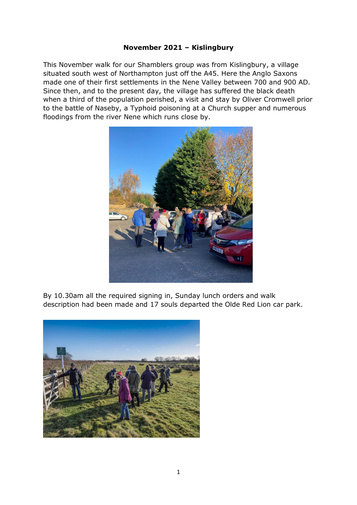## **November 2021 – Kislingbury**

This November walk for our Shamblers group was from Kislingbury, a village situated south west of Northampton just off the A45. Here the Anglo Saxons made one of their first settlements in the Nene Valley between 700 and 900 AD. Since then, and to the present day, the village has suffered the black death when a third of the population perished, a visit and stay by Oliver Cromwell prior to the battle of Naseby, a Typhoid poisoning at a Church supper and numerous floodings from the river Nene which runs close by.



By 10.30am all the required signing in, Sunday lunch orders and walk description had been made and 17 souls departed the Olde Red Lion car park.

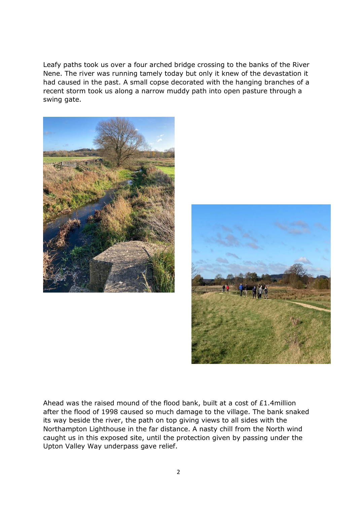Leafy paths took us over a four arched bridge crossing to the banks of the River Nene. The river was running tamely today but only it knew of the devastation it had caused in the past. A small copse decorated with the hanging branches of a recent storm took us along a narrow muddy path into open pasture through a swing gate.





Ahead was the raised mound of the flood bank, built at a cost of £1.4million after the flood of 1998 caused so much damage to the village. The bank snaked its way beside the river, the path on top giving views to all sides with the Northampton Lighthouse in the far distance. A nasty chill from the North wind caught us in this exposed site, until the protection given by passing under the Upton Valley Way underpass gave relief.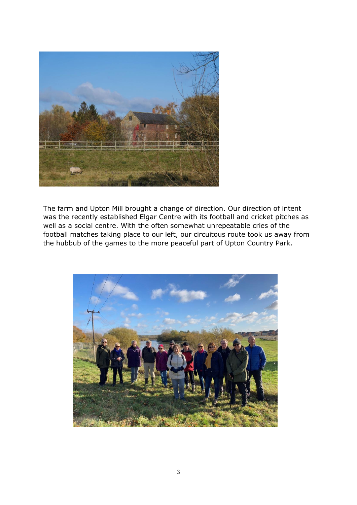

The farm and Upton Mill brought a change of direction. Our direction of intent was the recently established Elgar Centre with its football and cricket pitches as well as a social centre. With the often somewhat unrepeatable cries of the football matches taking place to our left, our circuitous route took us away from the hubbub of the games to the more peaceful part of Upton Country Park.